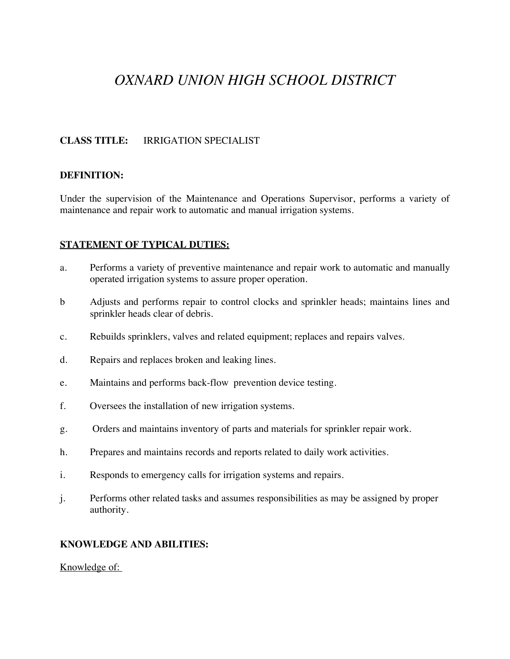# *OXNARD UNION HIGH SCHOOL DISTRICT*

# **CLASS TITLE:** IRRIGATION SPECIALIST

### **DEFINITION:**

Under the supervision of the Maintenance and Operations Supervisor, performs a variety of maintenance and repair work to automatic and manual irrigation systems.

# **STATEMENT OF TYPICAL DUTIES:**

- a. Performs a variety of preventive maintenance and repair work to automatic and manually operated irrigation systems to assure proper operation.
- b Adjusts and performs repair to control clocks and sprinkler heads; maintains lines and sprinkler heads clear of debris.
- c. Rebuilds sprinklers, valves and related equipment; replaces and repairs valves.
- d. Repairs and replaces broken and leaking lines.
- e. Maintains and performs back-flow prevention device testing.
- f. Oversees the installation of new irrigation systems.
- g. Orders and maintains inventory of parts and materials for sprinkler repair work.
- h. Prepares and maintains records and reports related to daily work activities.
- i. Responds to emergency calls for irrigation systems and repairs.
- j. Performs other related tasks and assumes responsibilities as may be assigned by proper authority.

#### **KNOWLEDGE AND ABILITIES:**

Knowledge of: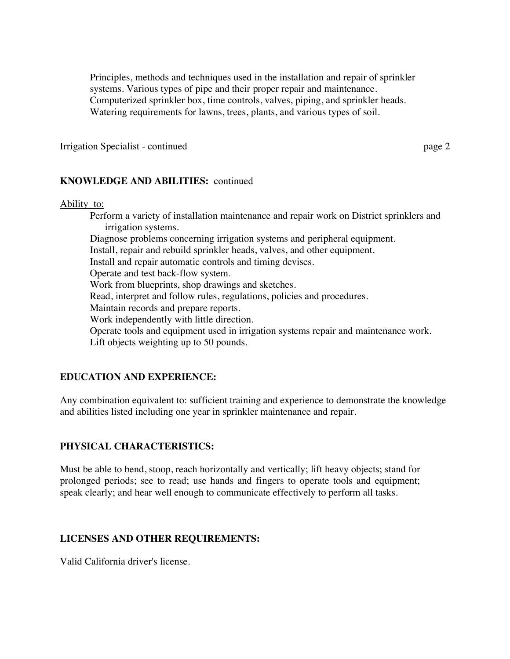Principles, methods and techniques used in the installation and repair of sprinkler systems. Various types of pipe and their proper repair and maintenance. Computerized sprinkler box, time controls, valves, piping, and sprinkler heads. Watering requirements for lawns, trees, plants, and various types of soil.

Irrigation Specialist - continued page 2

# **KNOWLEDGE AND ABILITIES:** continued

#### Ability to:

 Perform a variety of installation maintenance and repair work on District sprinklers and irrigation systems. Diagnose problems concerning irrigation systems and peripheral equipment. Install, repair and rebuild sprinkler heads, valves, and other equipment. Install and repair automatic controls and timing devises. Operate and test back-flow system. Work from blueprints, shop drawings and sketches. Read, interpret and follow rules, regulations, policies and procedures. Maintain records and prepare reports. Work independently with little direction. Operate tools and equipment used in irrigation systems repair and maintenance work. Lift objects weighting up to 50 pounds.

# **EDUCATION AND EXPERIENCE:**

Any combination equivalent to: sufficient training and experience to demonstrate the knowledge and abilities listed including one year in sprinkler maintenance and repair.

# **PHYSICAL CHARACTERISTICS:**

Must be able to bend, stoop, reach horizontally and vertically; lift heavy objects; stand for prolonged periods; see to read; use hands and fingers to operate tools and equipment; speak clearly; and hear well enough to communicate effectively to perform all tasks.

# **LICENSES AND OTHER REQUIREMENTS:**

Valid California driver's license.